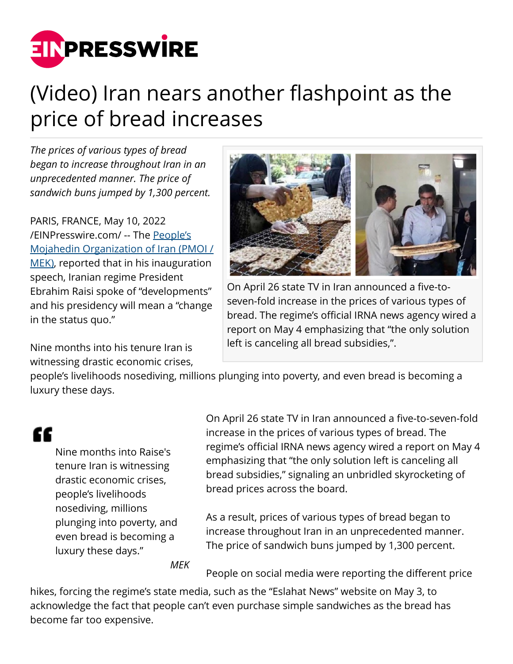

## (Video) Iran nears another flashpoint as the price of bread increases

*The prices of various types of bread began to increase throughout Iran in an unprecedented manner. The price of sandwich buns jumped by 1,300 percent.*

PARIS, FRANCE, May 10, 2022 [/EINPresswire.com/](http://www.einpresswire.com) -- The [People's](https://english.mojahedin.org/a-primer-on-the-history-of-the-peoples-mojahedin-organization-of-iran/) [Mojahedin Organization of Iran \(PMOI /](https://english.mojahedin.org/a-primer-on-the-history-of-the-peoples-mojahedin-organization-of-iran/) [MEK\)](https://english.mojahedin.org/a-primer-on-the-history-of-the-peoples-mojahedin-organization-of-iran/), reported that in his inauguration speech, Iranian regime President Ebrahim Raisi spoke of "developments" and his presidency will mean a "change in the status quo."

Nine months into his tenure Iran is witnessing drastic economic crises,



On April 26 state TV in Iran announced a five-toseven-fold increase in the prices of various types of bread. The regime's official IRNA news agency wired a report on May 4 emphasizing that "the only solution left is canceling all bread subsidies,".

people's livelihoods nosediving, millions plunging into poverty, and even bread is becoming a luxury these days.

## æ

Nine months into Raise's tenure Iran is witnessing drastic economic crises, people's livelihoods nosediving, millions plunging into poverty, and even bread is becoming a luxury these days."

On April 26 state TV in Iran announced a five-to-seven-fold increase in the prices of various types of bread. The regime's official IRNA news agency wired a report on May 4 emphasizing that "the only solution left is canceling all bread subsidies," signaling an unbridled skyrocketing of bread prices across the board.

As a result, prices of various types of bread began to increase throughout Iran in an unprecedented manner. The price of sandwich buns jumped by 1,300 percent.

*MEK*

People on social media were reporting the different price

hikes, forcing the regime's state media, such as the "Eslahat News" website on May 3, to acknowledge the fact that people can't even purchase simple sandwiches as the bread has become far too expensive.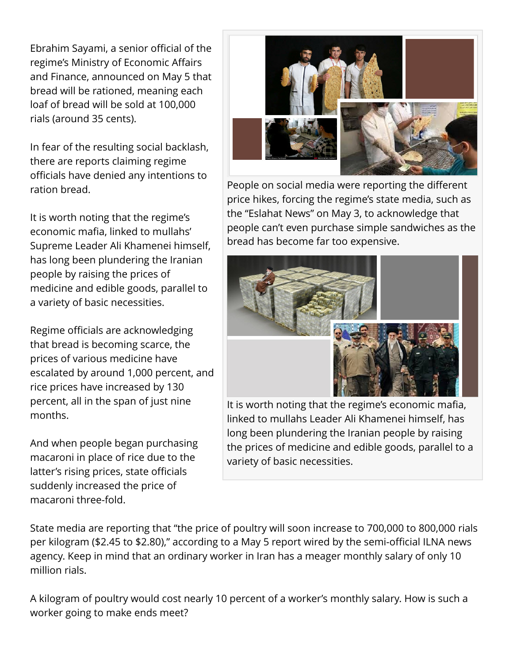Ebrahim Sayami, a senior official of the regime's Ministry of Economic Affairs and Finance, announced on May 5 that bread will be rationed, meaning each loaf of bread will be sold at 100,000 rials (around 35 cents).

In fear of the resulting social backlash, there are reports claiming regime officials have denied any intentions to ration bread.

It is worth noting that the regime's economic mafia, linked to mullahs' Supreme Leader Ali Khamenei himself, has long been plundering the Iranian people by raising the prices of medicine and edible goods, parallel to a variety of basic necessities.

Regime officials are acknowledging that bread is becoming scarce, the prices of various medicine have escalated by around 1,000 percent, and rice prices have increased by 130 percent, all in the span of just nine months.

And when people began purchasing macaroni in place of rice due to the latter's rising prices, state officials suddenly increased the price of macaroni three-fold.



People on social media were reporting the different price hikes, forcing the regime's state media, such as the "Eslahat News" on May 3, to acknowledge that people can't even purchase simple sandwiches as the bread has become far too expensive.



It is worth noting that the regime's economic mafia, linked to mullahs Leader Ali Khamenei himself, has long been plundering the Iranian people by raising the prices of medicine and edible goods, parallel to a variety of basic necessities.

State media are reporting that "the price of poultry will soon increase to 700,000 to 800,000 rials per kilogram (\$2.45 to \$2.80)," according to a May 5 report wired by the semi-official ILNA news agency. Keep in mind that an ordinary worker in Iran has a meager monthly salary of only 10 million rials.

A kilogram of poultry would cost nearly 10 percent of a worker's monthly salary. How is such a worker going to make ends meet?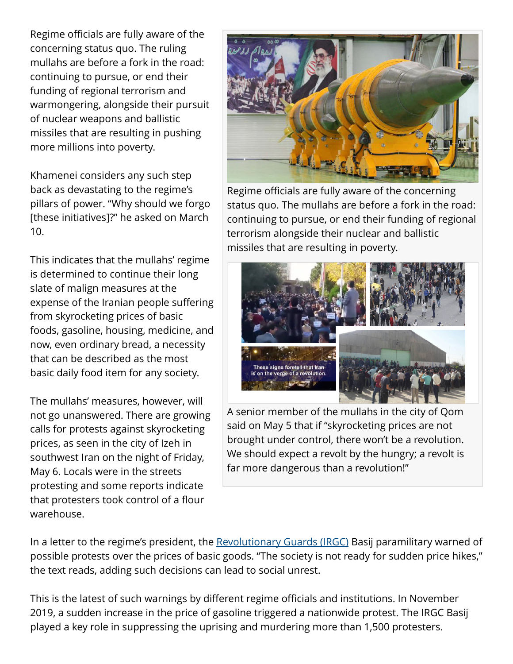Regime officials are fully aware of the concerning status quo. The ruling mullahs are before a fork in the road: continuing to pursue, or end their funding of regional terrorism and warmongering, alongside their pursuit of nuclear weapons and ballistic missiles that are resulting in pushing more millions into poverty.

Khamenei considers any such step back as devastating to the regime's pillars of power. "Why should we forgo [these initiatives]?" he asked on March 10.

This indicates that the mullahs' regime is determined to continue their long slate of malign measures at the expense of the Iranian people suffering from skyrocketing prices of basic foods, gasoline, housing, medicine, and now, even ordinary bread, a necessity that can be described as the most basic daily food item for any society.

The mullahs' measures, however, will not go unanswered. There are growing calls for protests against skyrocketing prices, as seen in the city of Izeh in southwest Iran on the night of Friday, May 6. Locals were in the streets protesting and some reports indicate that protesters took control of a flour warehouse.



Regime officials are fully aware of the concerning status quo. The mullahs are before a fork in the road: continuing to pursue, or end their funding of regional terrorism alongside their nuclear and ballistic missiles that are resulting in poverty.



A senior member of the mullahs in the city of Qom said on May 5 that if "skyrocketing prices are not brought under control, there won't be a revolution. We should expect a revolt by the hungry; a revolt is far more dangerous than a revolution!"

In a letter to the regime's president, the [Revolutionary Guards \(IRGC\)](https://www.ncr-iran.org/en/publications/special-reports/the-iranian-regimes-irgc-quds-force-1980s-present/) Basij paramilitary warned of possible protests over the prices of basic goods. "The society is not ready for sudden price hikes," the text reads, adding such decisions can lead to social unrest.

This is the latest of such warnings by different regime officials and institutions. In November 2019, a sudden increase in the price of gasoline triggered a nationwide protest. The IRGC Basij played a key role in suppressing the uprising and murdering more than 1,500 protesters.